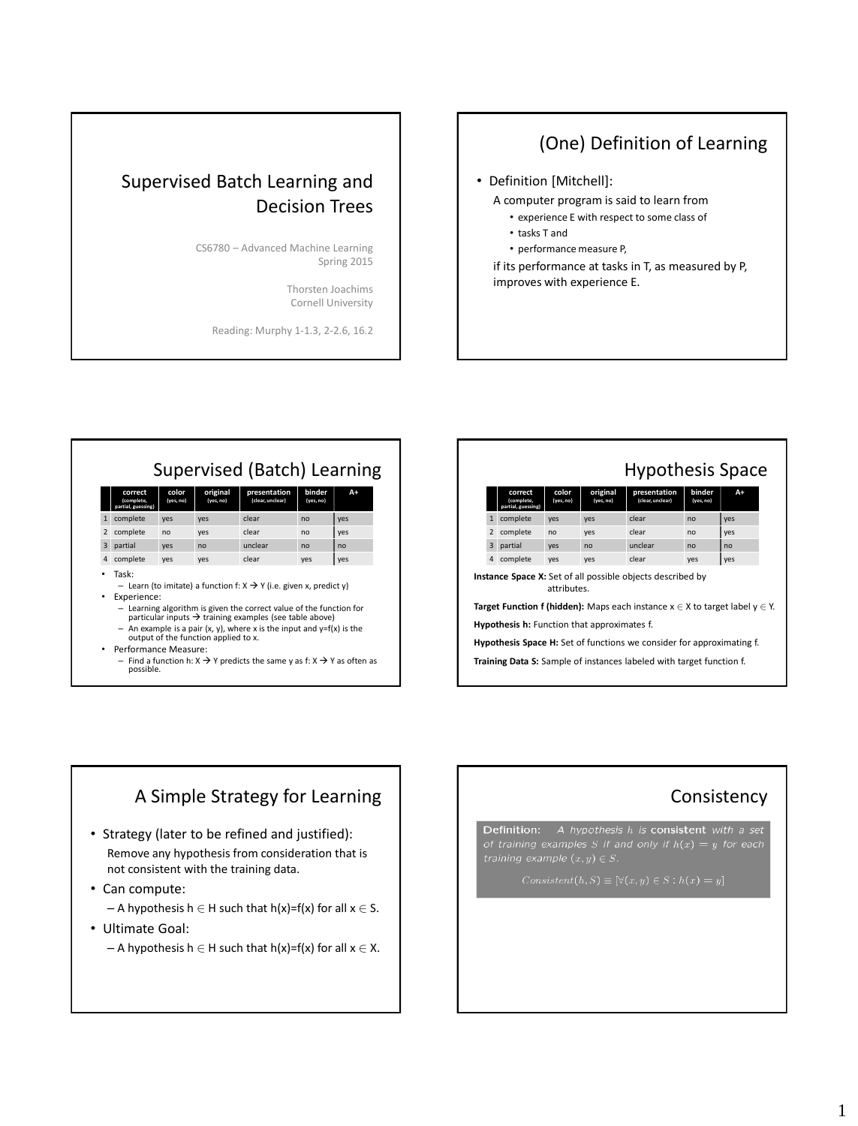# Supervised Batch Learning and Decision Trees

CS6780 – Advanced Machine Learning Spring 2015

> Thorsten Joachims Cornell University

Reading: Murphy 1-1.3, 2-2.6, 16.2

# (One) Definition of Learning

• Definition [Mitchell]:

A computer program is said to learn from

- experience E with respect to some class of
- tasks T and
- performance measure P,

if its performance at tasks in T, as measured by P, improves with experience E.

|                | Supervised (Batch) Learning                                                                                                                                                                                                                          |                    |                       |                                  |                     |     |  |  |  |  |
|----------------|------------------------------------------------------------------------------------------------------------------------------------------------------------------------------------------------------------------------------------------------------|--------------------|-----------------------|----------------------------------|---------------------|-----|--|--|--|--|
|                | correct<br>(complete.<br>partial, guessing)                                                                                                                                                                                                          | color<br>(yes, no) | original<br>(yes, no) | presentation<br>(clear, unclear) | binder<br>(yes, no) | A+  |  |  |  |  |
| $\mathbf{1}$   | complete                                                                                                                                                                                                                                             | yes                | yes                   | clear                            | n <sub>0</sub>      | yes |  |  |  |  |
| $\overline{2}$ | complete                                                                                                                                                                                                                                             | no                 | yes                   | clear                            | no                  | yes |  |  |  |  |
| 3              | partial                                                                                                                                                                                                                                              | yes                | n <sub>0</sub>        | unclear                          | n <sub>0</sub>      | no  |  |  |  |  |
| $\overline{a}$ | complete                                                                                                                                                                                                                                             | yes                | yes                   | clear                            | yes                 | yes |  |  |  |  |
|                | Task:<br>- Learn (to imitate) a function f: $X \rightarrow Y$ (i.e. given x, predict y)<br>Experience:<br>- Learning algorithm is given the correct value of the function for<br>particular inputs $\rightarrow$ training examples (see table above) |                    |                       |                                  |                     |     |  |  |  |  |
|                | - An example is a pair $(x, y)$ , where x is the input and $y=f(x)$ is the<br>output of the function applied to x.                                                                                                                                   |                    |                       |                                  |                     |     |  |  |  |  |
|                | Performance Measure:<br>- Find a function h: $X \rightarrow Y$ predicts the same y as f: $X \rightarrow Y$ as often as                                                                                                                               |                    |                       |                                  |                     |     |  |  |  |  |
|                | possible.                                                                                                                                                                                                                                            |                    |                       |                                  |                     |     |  |  |  |  |

|                                                                                             | <b>Hypothesis Space</b>                                                     |                                             |                    |                       |                                  |                     |                |  |  |  |  |  |  |
|---------------------------------------------------------------------------------------------|-----------------------------------------------------------------------------|---------------------------------------------|--------------------|-----------------------|----------------------------------|---------------------|----------------|--|--|--|--|--|--|
|                                                                                             |                                                                             | correct<br>(complete.<br>partial, guessing) | color<br>(yes, no) | original<br>(yes, no) | presentation<br>(clear, unclear) | binder<br>(yes, no) | A+             |  |  |  |  |  |  |
|                                                                                             | $\mathbf{1}$                                                                | complete                                    | yes                | yes                   | clear                            | no                  | yes            |  |  |  |  |  |  |
|                                                                                             | $\overline{2}$                                                              | complete                                    | no                 | yes                   | clear                            | n <sub>0</sub>      | yes            |  |  |  |  |  |  |
|                                                                                             | $\overline{3}$                                                              | partial                                     | yes                | n <sub>0</sub>        | unclear                          | n <sub>0</sub>      | n <sub>0</sub> |  |  |  |  |  |  |
|                                                                                             | 4                                                                           | complete                                    | yes                | yes                   | clear                            | yes                 | yes            |  |  |  |  |  |  |
| <b>Instance Space X:</b> Set of all possible objects described by<br>attributes.            |                                                                             |                                             |                    |                       |                                  |                     |                |  |  |  |  |  |  |
| <b>Target Function f (hidden):</b> Maps each instance $x \in X$ to target label $y \in Y$ . |                                                                             |                                             |                    |                       |                                  |                     |                |  |  |  |  |  |  |
| <b>Hypothesis h:</b> Function that approximates f.                                          |                                                                             |                                             |                    |                       |                                  |                     |                |  |  |  |  |  |  |
| <b>Hypothesis Space H:</b> Set of functions we consider for approximating f.                |                                                                             |                                             |                    |                       |                                  |                     |                |  |  |  |  |  |  |
|                                                                                             | <b>Training Data S:</b> Sample of instances labeled with target function f. |                                             |                    |                       |                                  |                     |                |  |  |  |  |  |  |

# A Simple Strategy for Learning

- Strategy (later to be refined and justified): Remove any hypothesis from consideration that is not consistent with the training data.
- Can compute:
	- A hypothesis  $h \in H$  such that  $h(x)=f(x)$  for all  $x \in S$ .
- Ultimate Goal:
	- A hypothesis  $h \in H$  such that  $h(x)=f(x)$  for all  $x \in X$ .

### **Consistency**

**Definition:** A hypothesis  $h$  is consistent with a set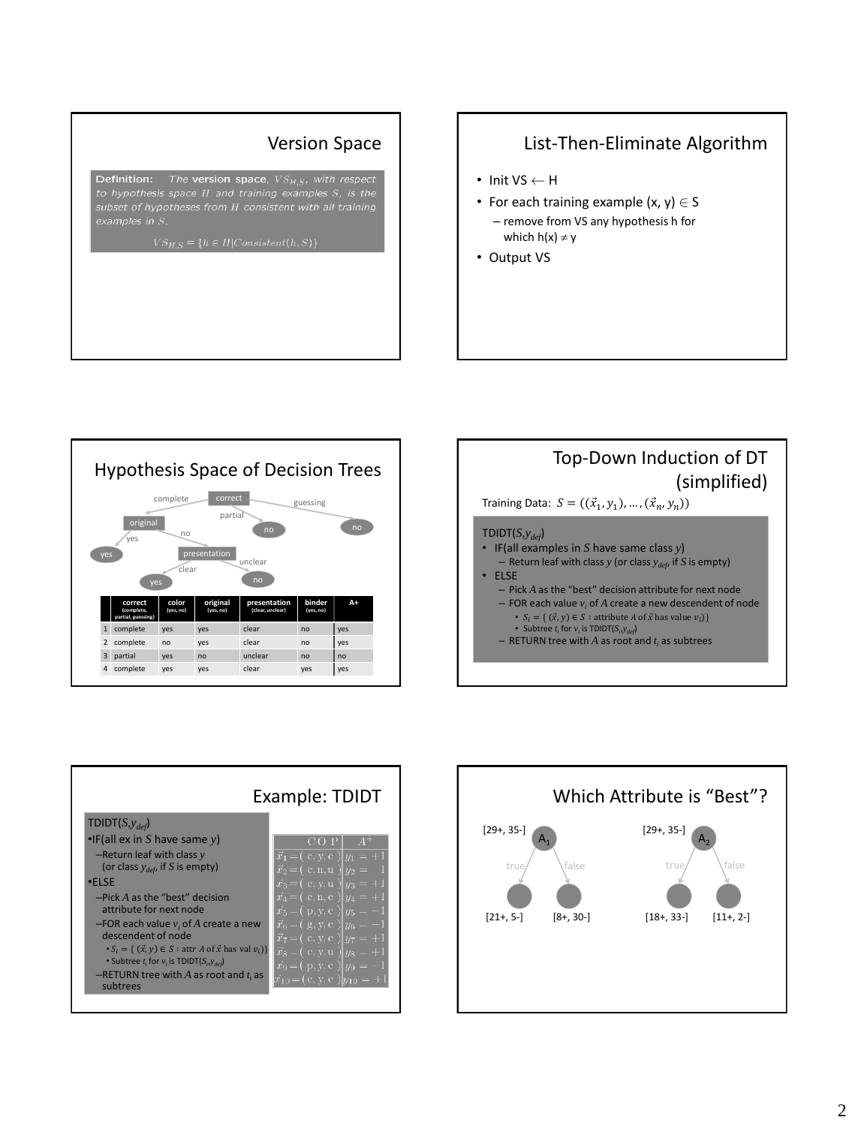**Definition:** The **version space**,  $VS_{H,S}$ , with respect to hypothesis space  $H$  and training examples  $S$ , is the subset of hypotheses from H consistent with all training

#### Version Space | | | List-Then-Eliminate Algorithm

- Init  $VS \leftarrow H$
- For each training example  $(x, y) \in S$ – remove from VS any hypothesis h for which  $h(x) \neq y$
- Output VS